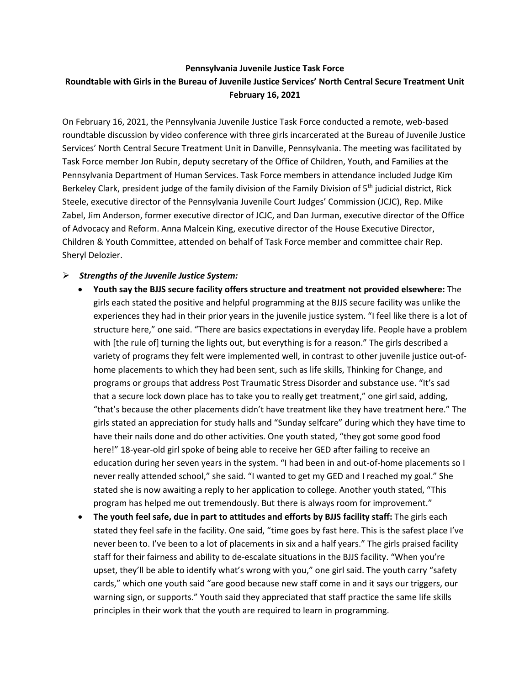## **Pennsylvania Juvenile Justice Task Force Roundtable with Girls in the Bureau of Juvenile Justice Services' North Central Secure Treatment Unit February 16, 2021**

On February 16, 2021, the Pennsylvania Juvenile Justice Task Force conducted a remote, web-based roundtable discussion by video conference with three girls incarcerated at the Bureau of Juvenile Justice Services' North Central Secure Treatment Unit in Danville, Pennsylvania. The meeting was facilitated by Task Force member Jon Rubin, deputy secretary of the Office of Children, Youth, and Families at the Pennsylvania Department of Human Services. Task Force members in attendance included Judge Kim Berkeley Clark, president judge of the family division of the Family Division of 5<sup>th</sup> judicial district, Rick Steele, executive director of the Pennsylvania Juvenile Court Judges' Commission (JCJC), Rep. Mike Zabel, Jim Anderson, former executive director of JCJC, and Dan Jurman, executive director of the Office of Advocacy and Reform. Anna Malcein King, executive director of the House Executive Director, Children & Youth Committee, attended on behalf of Task Force member and committee chair Rep. Sheryl Delozier.

## ➢ *Strengths of the Juvenile Justice System:*

- **Youth say the BJJS secure facility offers structure and treatment not provided elsewhere:** The girls each stated the positive and helpful programming at the BJJS secure facility was unlike the experiences they had in their prior years in the juvenile justice system. "I feel like there is a lot of structure here," one said. "There are basics expectations in everyday life. People have a problem with [the rule of] turning the lights out, but everything is for a reason." The girls described a variety of programs they felt were implemented well, in contrast to other juvenile justice out-ofhome placements to which they had been sent, such as life skills, Thinking for Change, and programs or groups that address Post Traumatic Stress Disorder and substance use. "It's sad that a secure lock down place has to take you to really get treatment," one girl said, adding, "that's because the other placements didn't have treatment like they have treatment here." The girls stated an appreciation for study halls and "Sunday selfcare" during which they have time to have their nails done and do other activities. One youth stated, "they got some good food here!" 18-year-old girl spoke of being able to receive her GED after failing to receive an education during her seven years in the system. "I had been in and out-of-home placements so I never really attended school," she said. "I wanted to get my GED and I reached my goal." She stated she is now awaiting a reply to her application to college. Another youth stated, "This program has helped me out tremendously. But there is always room for improvement."
- **The youth feel safe, due in part to attitudes and efforts by BJJS facility staff:** The girls each stated they feel safe in the facility. One said, "time goes by fast here. This is the safest place I've never been to. I've been to a lot of placements in six and a half years." The girls praised facility staff for their fairness and ability to de-escalate situations in the BJJS facility. "When you're upset, they'll be able to identify what's wrong with you," one girl said. The youth carry "safety cards," which one youth said "are good because new staff come in and it says our triggers, our warning sign, or supports." Youth said they appreciated that staff practice the same life skills principles in their work that the youth are required to learn in programming.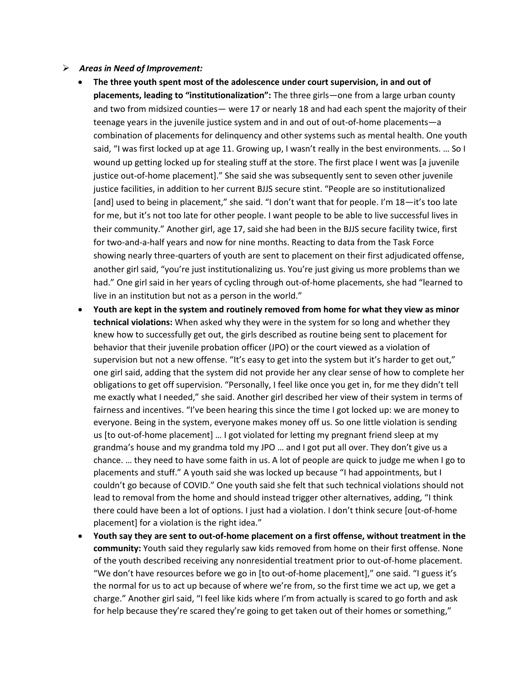## ➢ *Areas in Need of Improvement:*

- **The three youth spent most of the adolescence under court supervision, in and out of placements, leading to "institutionalization":** The three girls—one from a large urban county and two from midsized counties— were 17 or nearly 18 and had each spent the majority of their teenage years in the juvenile justice system and in and out of out-of-home placements—a combination of placements for delinquency and other systems such as mental health. One youth said, "I was first locked up at age 11. Growing up, I wasn't really in the best environments. ... So I wound up getting locked up for stealing stuff at the store. The first place I went was [a juvenile justice out-of-home placement]." She said she was subsequently sent to seven other juvenile justice facilities, in addition to her current BJJS secure stint. "People are so institutionalized [and] used to being in placement," she said. "I don't want that for people. I'm 18—it's too late for me, but it's not too late for other people. I want people to be able to live successful lives in their community." Another girl, age 17, said she had been in the BJJS secure facility twice, first for two-and-a-half years and now for nine months. Reacting to data from the Task Force showing nearly three-quarters of youth are sent to placement on their first adjudicated offense, another girl said, "you're just institutionalizing us. You're just giving us more problems than we had." One girl said in her years of cycling through out-of-home placements, she had "learned to live in an institution but not as a person in the world."
- **Youth are kept in the system and routinely removed from home for what they view as minor technical violations:** When asked why they were in the system for so long and whether they knew how to successfully get out, the girls described as routine being sent to placement for behavior that their juvenile probation officer (JPO) or the court viewed as a violation of supervision but not a new offense. "It's easy to get into the system but it's harder to get out," one girl said, adding that the system did not provide her any clear sense of how to complete her obligations to get off supervision. "Personally, I feel like once you get in, for me they didn't tell me exactly what I needed," she said. Another girl described her view of their system in terms of fairness and incentives. "I've been hearing this since the time I got locked up: we are money to everyone. Being in the system, everyone makes money off us. So one little violation is sending us [to out-of-home placement] … I got violated for letting my pregnant friend sleep at my grandma's house and my grandma told my JPO … and I got put all over. They don't give us a chance. … they need to have some faith in us. A lot of people are quick to judge me when I go to placements and stuff." A youth said she was locked up because "I had appointments, but I couldn't go because of COVID." One youth said she felt that such technical violations should not lead to removal from the home and should instead trigger other alternatives, adding, "I think there could have been a lot of options. I just had a violation. I don't think secure [out-of-home placement] for a violation is the right idea."
- **Youth say they are sent to out-of-home placement on a first offense, without treatment in the community:** Youth said they regularly saw kids removed from home on their first offense. None of the youth described receiving any nonresidential treatment prior to out-of-home placement. "We don't have resources before we go in [to out-of-home placement]," one said. "I guess it's the normal for us to act up because of where we're from, so the first time we act up, we get a charge." Another girl said, "I feel like kids where I'm from actually is scared to go forth and ask for help because they're scared they're going to get taken out of their homes or something,"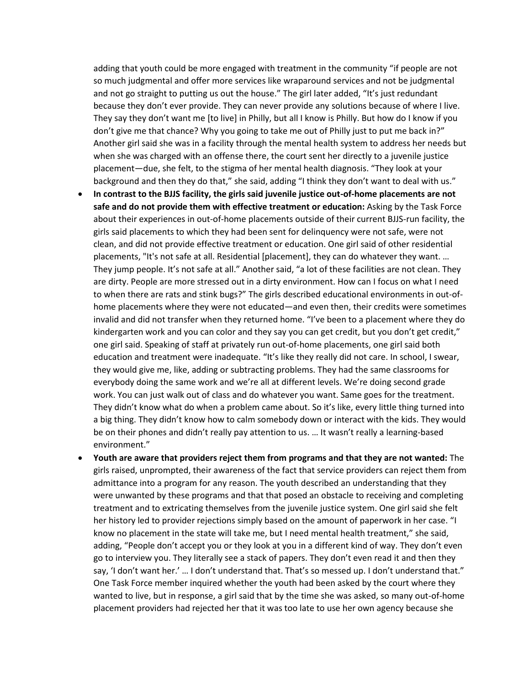adding that youth could be more engaged with treatment in the community "if people are not so much judgmental and offer more services like wraparound services and not be judgmental and not go straight to putting us out the house." The girl later added, "It's just redundant because they don't ever provide. They can never provide any solutions because of where I live. They say they don't want me [to live] in Philly, but all I know is Philly. But how do I know if you don't give me that chance? Why you going to take me out of Philly just to put me back in?" Another girl said she was in a facility through the mental health system to address her needs but when she was charged with an offense there, the court sent her directly to a juvenile justice placement—due, she felt, to the stigma of her mental health diagnosis. "They look at your background and then they do that," she said, adding "I think they don't want to deal with us."

- **In contrast to the BJJS facility, the girls said juvenile justice out-of-home placements are not safe and do not provide them with effective treatment or education:** Asking by the Task Force about their experiences in out-of-home placements outside of their current BJJS-run facility, the girls said placements to which they had been sent for delinquency were not safe, were not clean, and did not provide effective treatment or education. One girl said of other residential placements, "It's not safe at all. Residential [placement], they can do whatever they want. … They jump people. It's not safe at all." Another said, "a lot of these facilities are not clean. They are dirty. People are more stressed out in a dirty environment. How can I focus on what I need to when there are rats and stink bugs?" The girls described educational environments in out-ofhome placements where they were not educated—and even then, their credits were sometimes invalid and did not transfer when they returned home. "I've been to a placement where they do kindergarten work and you can color and they say you can get credit, but you don't get credit," one girl said. Speaking of staff at privately run out-of-home placements, one girl said both education and treatment were inadequate. "It's like they really did not care. In school, I swear, they would give me, like, adding or subtracting problems. They had the same classrooms for everybody doing the same work and we're all at different levels. We're doing second grade work. You can just walk out of class and do whatever you want. Same goes for the treatment. They didn't know what do when a problem came about. So it's like, every little thing turned into a big thing. They didn't know how to calm somebody down or interact with the kids. They would be on their phones and didn't really pay attention to us. … It wasn't really a learning-based environment."
- **Youth are aware that providers reject them from programs and that they are not wanted:** The girls raised, unprompted, their awareness of the fact that service providers can reject them from admittance into a program for any reason. The youth described an understanding that they were unwanted by these programs and that that posed an obstacle to receiving and completing treatment and to extricating themselves from the juvenile justice system. One girl said she felt her history led to provider rejections simply based on the amount of paperwork in her case. "I know no placement in the state will take me, but I need mental health treatment," she said, adding, "People don't accept you or they look at you in a different kind of way. They don't even go to interview you. They literally see a stack of papers. They don't even read it and then they say, 'I don't want her.' … I don't understand that. That's so messed up. I don't understand that." One Task Force member inquired whether the youth had been asked by the court where they wanted to live, but in response, a girl said that by the time she was asked, so many out-of-home placement providers had rejected her that it was too late to use her own agency because she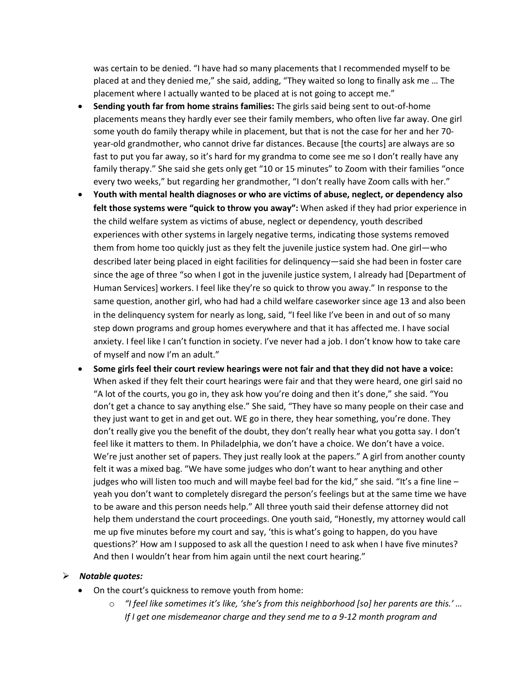was certain to be denied. "I have had so many placements that I recommended myself to be placed at and they denied me," she said, adding, "They waited so long to finally ask me … The placement where I actually wanted to be placed at is not going to accept me."

- **Sending youth far from home strains families:** The girls said being sent to out-of-home placements means they hardly ever see their family members, who often live far away. One girl some youth do family therapy while in placement, but that is not the case for her and her 70 year-old grandmother, who cannot drive far distances. Because [the courts] are always are so fast to put you far away, so it's hard for my grandma to come see me so I don't really have any family therapy." She said she gets only get "10 or 15 minutes" to Zoom with their families "once every two weeks," but regarding her grandmother, "I don't really have Zoom calls with her."
- **Youth with mental health diagnoses or who are victims of abuse, neglect, or dependency also felt those systems were "quick to throw you away":** When asked if they had prior experience in the child welfare system as victims of abuse, neglect or dependency, youth described experiences with other systems in largely negative terms, indicating those systems removed them from home too quickly just as they felt the juvenile justice system had. One girl—who described later being placed in eight facilities for delinquency—said she had been in foster care since the age of three "so when I got in the juvenile justice system, I already had [Department of Human Services] workers. I feel like they're so quick to throw you away." In response to the same question, another girl, who had had a child welfare caseworker since age 13 and also been in the delinquency system for nearly as long, said, "I feel like I've been in and out of so many step down programs and group homes everywhere and that it has affected me. I have social anxiety. I feel like I can't function in society. I've never had a job. I don't know how to take care of myself and now I'm an adult."
- **Some girls feel their court review hearings were not fair and that they did not have a voice:** When asked if they felt their court hearings were fair and that they were heard, one girl said no "A lot of the courts, you go in, they ask how you're doing and then it's done," she said. "You don't get a chance to say anything else." She said, "They have so many people on their case and they just want to get in and get out. WE go in there, they hear something, you're done. They don't really give you the benefit of the doubt, they don't really hear what you gotta say. I don't feel like it matters to them. In Philadelphia, we don't have a choice. We don't have a voice. We're just another set of papers. They just really look at the papers." A girl from another county felt it was a mixed bag. "We have some judges who don't want to hear anything and other judges who will listen too much and will maybe feel bad for the kid," she said. "It's a fine line  $$ yeah you don't want to completely disregard the person's feelings but at the same time we have to be aware and this person needs help." All three youth said their defense attorney did not help them understand the court proceedings. One youth said, "Honestly, my attorney would call me up five minutes before my court and say, 'this is what's going to happen, do you have questions?' How am I supposed to ask all the question I need to ask when I have five minutes? And then I wouldn't hear from him again until the next court hearing."

## ➢ *Notable quotes:*

- On the court's quickness to remove youth from home:
	- o *"I feel like sometimes it's like, 'she's from this neighborhood [so] her parents are this.' … If I get one misdemeanor charge and they send me to a 9-12 month program and*